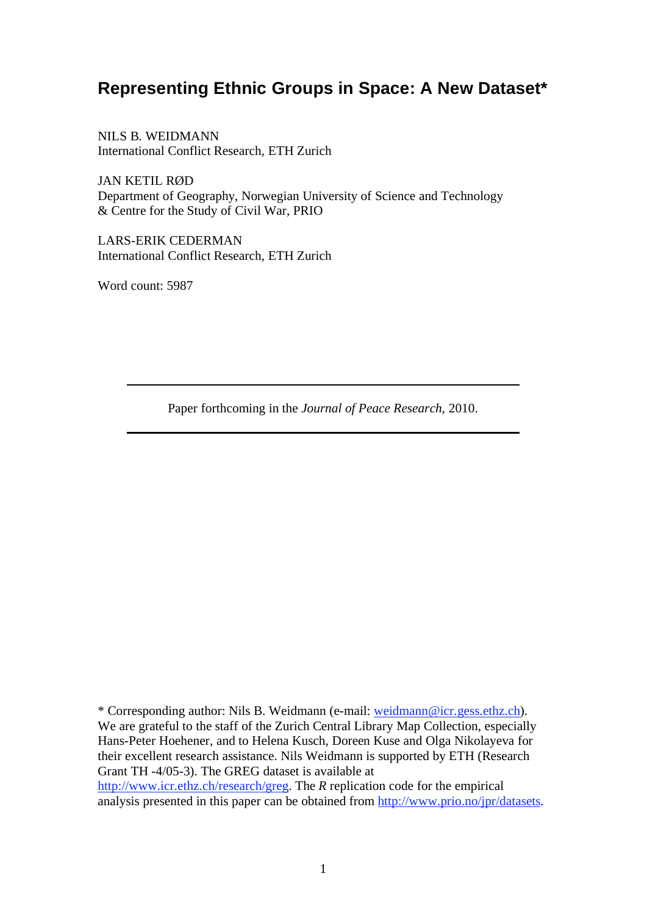# **Representing Ethnic Groups in Space: A New Dataset\***

NILS B. WEIDMANN International Conflict Research, ETH Zurich

JAN KETIL RØD Department of Geography, Norwegian University of Science and Technology & Centre for the Study of Civil War, PRIO

LARS-ERIK CEDERMAN International Conflict Research, ETH Zurich

Word count: 5987

Paper forthcoming in the *Journal of Peace Research*, 2010.

\* Corresponding author: Nils B. Weidmann (e-mail: weidmann@icr.gess.ethz.ch). We are grateful to the staff of the Zurich Central Library Map Collection, especially Hans-Peter Hoehener, and to Helena Kusch, Doreen Kuse and Olga Nikolayeva for their excellent research assistance. Nils Weidmann is supported by ETH (Research Grant TH -4/05-3). The GREG dataset is available at http://www.icr.ethz.ch/research/greg. The *R* replication code for the empirical analysis presented in this paper can be obtained from http://www.prio.no/jpr/datasets.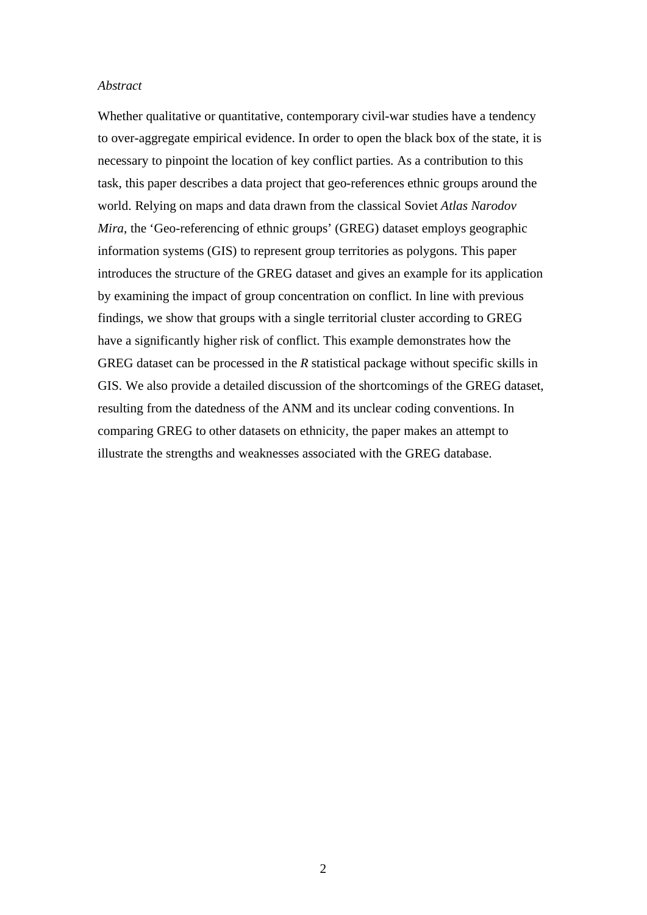#### *Abstract*

Whether qualitative or quantitative, contemporary civil-war studies have a tendency to over-aggregate empirical evidence. In order to open the black box of the state, it is necessary to pinpoint the location of key conflict parties. As a contribution to this task, this paper describes a data project that geo-references ethnic groups around the world. Relying on maps and data drawn from the classical Soviet *Atlas Narodov Mira*, the 'Geo-referencing of ethnic groups' (GREG) dataset employs geographic information systems (GIS) to represent group territories as polygons. This paper introduces the structure of the GREG dataset and gives an example for its application by examining the impact of group concentration on conflict. In line with previous findings, we show that groups with a single territorial cluster according to GREG have a significantly higher risk of conflict. This example demonstrates how the GREG dataset can be processed in the *R* statistical package without specific skills in GIS. We also provide a detailed discussion of the shortcomings of the GREG dataset, resulting from the datedness of the ANM and its unclear coding conventions. In comparing GREG to other datasets on ethnicity, the paper makes an attempt to illustrate the strengths and weaknesses associated with the GREG database.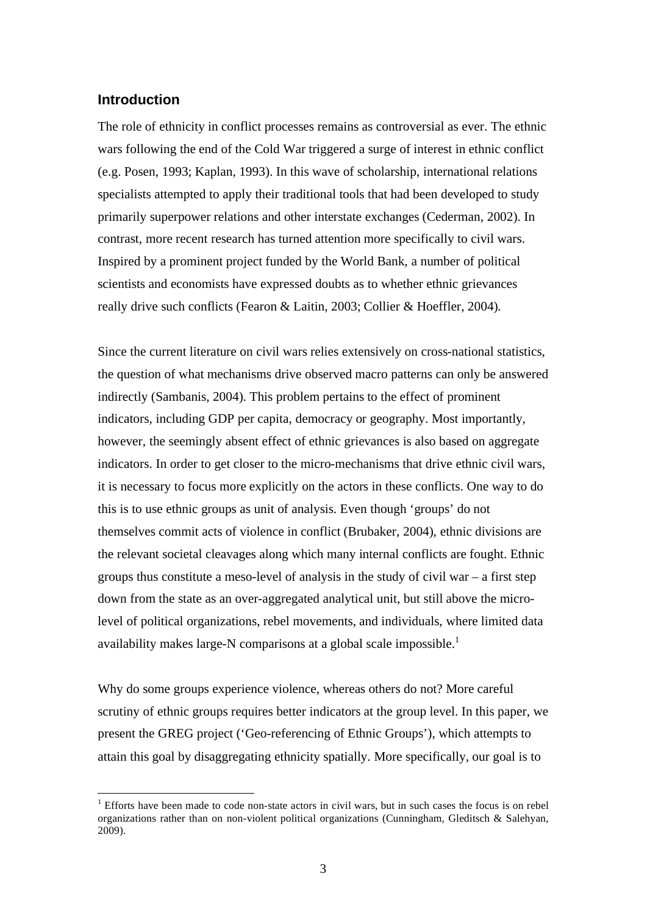### **Introduction**

1

The role of ethnicity in conflict processes remains as controversial as ever. The ethnic wars following the end of the Cold War triggered a surge of interest in ethnic conflict (e.g. Posen, 1993; Kaplan, 1993). In this wave of scholarship, international relations specialists attempted to apply their traditional tools that had been developed to study primarily superpower relations and other interstate exchanges (Cederman, 2002). In contrast, more recent research has turned attention more specifically to civil wars. Inspired by a prominent project funded by the World Bank, a number of political scientists and economists have expressed doubts as to whether ethnic grievances really drive such conflicts (Fearon & Laitin, 2003; Collier & Hoeffler, 2004).

Since the current literature on civil wars relies extensively on cross-national statistics, the question of what mechanisms drive observed macro patterns can only be answered indirectly (Sambanis, 2004). This problem pertains to the effect of prominent indicators, including GDP per capita, democracy or geography. Most importantly, however, the seemingly absent effect of ethnic grievances is also based on aggregate indicators. In order to get closer to the micro-mechanisms that drive ethnic civil wars, it is necessary to focus more explicitly on the actors in these conflicts. One way to do this is to use ethnic groups as unit of analysis. Even though 'groups' do not themselves commit acts of violence in conflict (Brubaker, 2004), ethnic divisions are the relevant societal cleavages along which many internal conflicts are fought. Ethnic groups thus constitute a meso-level of analysis in the study of civil war – a first step down from the state as an over-aggregated analytical unit, but still above the microlevel of political organizations, rebel movements, and individuals, where limited data availability makes large-N comparisons at a global scale impossible.<sup>1</sup>

Why do some groups experience violence, whereas others do not? More careful scrutiny of ethnic groups requires better indicators at the group level. In this paper, we present the GREG project ('Geo-referencing of Ethnic Groups'), which attempts to attain this goal by disaggregating ethnicity spatially. More specifically, our goal is to

 $1$  Efforts have been made to code non-state actors in civil wars, but in such cases the focus is on rebel organizations rather than on non-violent political organizations (Cunningham, Gleditsch & Salehyan, 2009).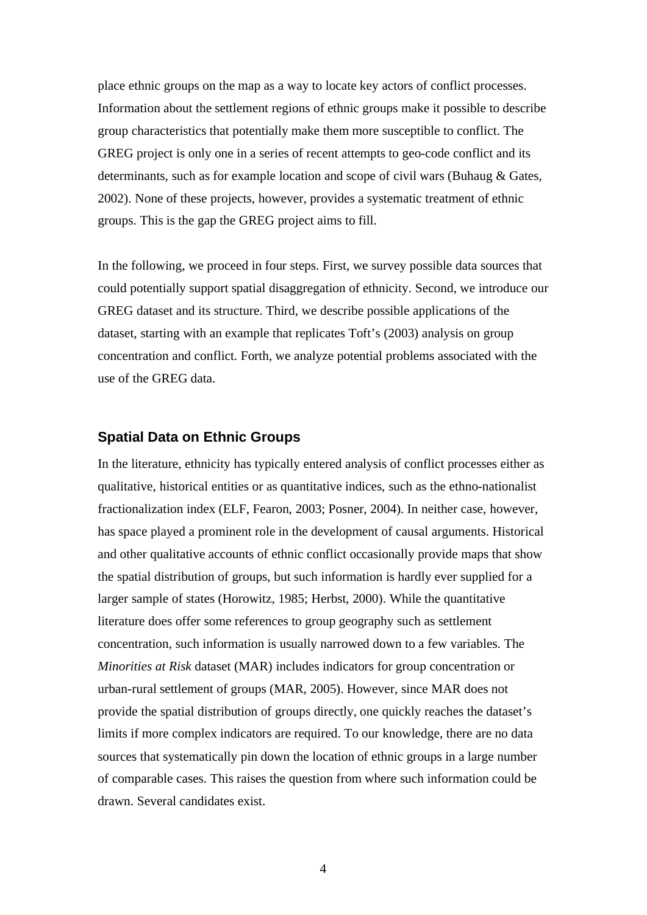place ethnic groups on the map as a way to locate key actors of conflict processes. Information about the settlement regions of ethnic groups make it possible to describe group characteristics that potentially make them more susceptible to conflict. The GREG project is only one in a series of recent attempts to geo-code conflict and its determinants, such as for example location and scope of civil wars (Buhaug & Gates, 2002). None of these projects, however, provides a systematic treatment of ethnic groups. This is the gap the GREG project aims to fill.

In the following, we proceed in four steps. First, we survey possible data sources that could potentially support spatial disaggregation of ethnicity. Second, we introduce our GREG dataset and its structure. Third, we describe possible applications of the dataset, starting with an example that replicates Toft's (2003) analysis on group concentration and conflict. Forth, we analyze potential problems associated with the use of the GREG data.

## **Spatial Data on Ethnic Groups**

In the literature, ethnicity has typically entered analysis of conflict processes either as qualitative, historical entities or as quantitative indices, such as the ethno-nationalist fractionalization index (ELF, Fearon, 2003; Posner, 2004). In neither case, however, has space played a prominent role in the development of causal arguments. Historical and other qualitative accounts of ethnic conflict occasionally provide maps that show the spatial distribution of groups, but such information is hardly ever supplied for a larger sample of states (Horowitz, 1985; Herbst, 2000). While the quantitative literature does offer some references to group geography such as settlement concentration, such information is usually narrowed down to a few variables. The *Minorities at Risk* dataset (MAR) includes indicators for group concentration or urban-rural settlement of groups (MAR, 2005). However, since MAR does not provide the spatial distribution of groups directly, one quickly reaches the dataset's limits if more complex indicators are required. To our knowledge, there are no data sources that systematically pin down the location of ethnic groups in a large number of comparable cases. This raises the question from where such information could be drawn. Several candidates exist.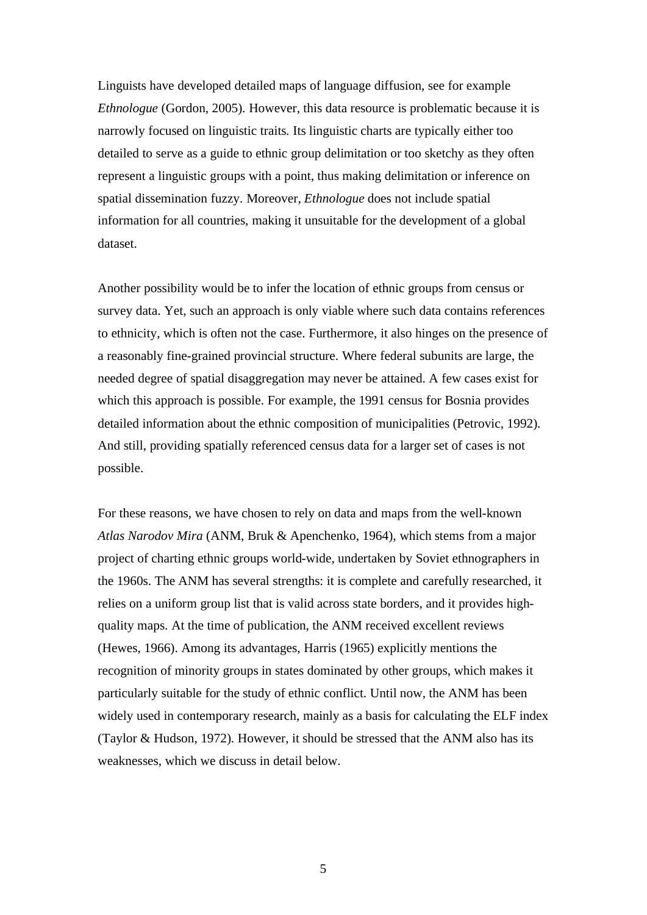Linguists have developed detailed maps of language diffusion, see for example *Ethnologue* (Gordon, 2005). However, this data resource is problematic because it is narrowly focused on linguistic traits. Its linguistic charts are typically either too detailed to serve as a guide to ethnic group delimitation or too sketchy as they often represent a linguistic groups with a point, thus making delimitation or inference on spatial dissemination fuzzy. Moreover, *Ethnologue* does not include spatial information for all countries, making it unsuitable for the development of a global dataset.

Another possibility would be to infer the location of ethnic groups from census or survey data. Yet, such an approach is only viable where such data contains references to ethnicity, which is often not the case. Furthermore, it also hinges on the presence of a reasonably fine-grained provincial structure. Where federal subunits are large, the needed degree of spatial disaggregation may never be attained. A few cases exist for which this approach is possible. For example, the 1991 census for Bosnia provides detailed information about the ethnic composition of municipalities (Petrovic, 1992). And still, providing spatially referenced census data for a larger set of cases is not possible.

For these reasons, we have chosen to rely on data and maps from the well-known *Atlas Narodov Mira* (ANM, Bruk & Apenchenko, 1964), which stems from a major project of charting ethnic groups world-wide, undertaken by Soviet ethnographers in the 1960s. The ANM has several strengths: it is complete and carefully researched, it relies on a uniform group list that is valid across state borders, and it provides highquality maps. At the time of publication, the ANM received excellent reviews (Hewes, 1966). Among its advantages, Harris (1965) explicitly mentions the recognition of minority groups in states dominated by other groups, which makes it particularly suitable for the study of ethnic conflict. Until now, the ANM has been widely used in contemporary research, mainly as a basis for calculating the ELF index (Taylor & Hudson, 1972). However, it should be stressed that the ANM also has its weaknesses, which we discuss in detail below.

5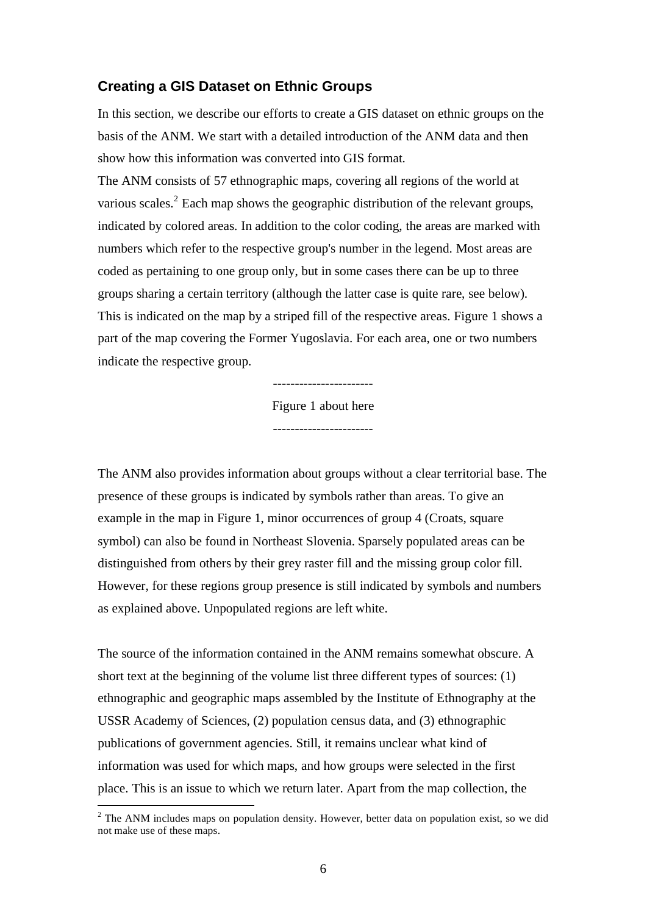### **Creating a GIS Dataset on Ethnic Groups**

In this section, we describe our efforts to create a GIS dataset on ethnic groups on the basis of the ANM. We start with a detailed introduction of the ANM data and then show how this information was converted into GIS format.

The ANM consists of 57 ethnographic maps, covering all regions of the world at various scales. $2$  Each map shows the geographic distribution of the relevant groups, indicated by colored areas. In addition to the color coding, the areas are marked with numbers which refer to the respective group's number in the legend. Most areas are coded as pertaining to one group only, but in some cases there can be up to three groups sharing a certain territory (although the latter case is quite rare, see below). This is indicated on the map by a striped fill of the respective areas. Figure 1 shows a part of the map covering the Former Yugoslavia. For each area, one or two numbers indicate the respective group.

Figure 1 about here

-----------------------

The ANM also provides information about groups without a clear territorial base. The presence of these groups is indicated by symbols rather than areas. To give an example in the map in Figure 1, minor occurrences of group 4 (Croats, square symbol) can also be found in Northeast Slovenia. Sparsely populated areas can be distinguished from others by their grey raster fill and the missing group color fill. However, for these regions group presence is still indicated by symbols and numbers as explained above. Unpopulated regions are left white.

The source of the information contained in the ANM remains somewhat obscure. A short text at the beginning of the volume list three different types of sources: (1) ethnographic and geographic maps assembled by the Institute of Ethnography at the USSR Academy of Sciences, (2) population census data, and (3) ethnographic publications of government agencies. Still, it remains unclear what kind of information was used for which maps, and how groups were selected in the first place. This is an issue to which we return later. Apart from the map collection, the

1

 $2$  The ANM includes maps on population density. However, better data on population exist, so we did not make use of these maps.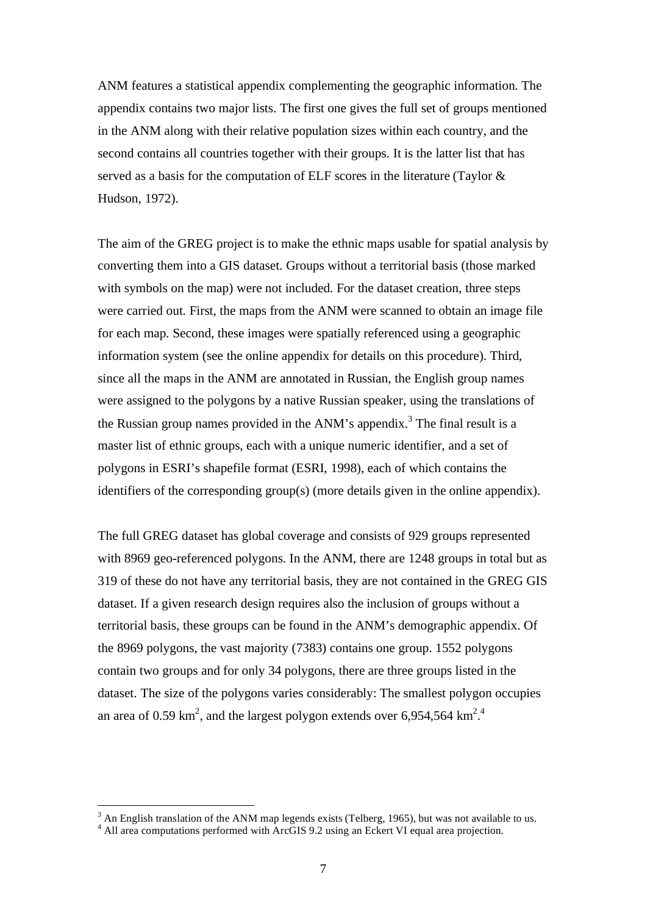ANM features a statistical appendix complementing the geographic information. The appendix contains two major lists. The first one gives the full set of groups mentioned in the ANM along with their relative population sizes within each country, and the second contains all countries together with their groups. It is the latter list that has served as a basis for the computation of ELF scores in the literature (Taylor & Hudson, 1972).

The aim of the GREG project is to make the ethnic maps usable for spatial analysis by converting them into a GIS dataset. Groups without a territorial basis (those marked with symbols on the map) were not included. For the dataset creation, three steps were carried out. First, the maps from the ANM were scanned to obtain an image file for each map. Second, these images were spatially referenced using a geographic information system (see the online appendix for details on this procedure). Third, since all the maps in the ANM are annotated in Russian, the English group names were assigned to the polygons by a native Russian speaker, using the translations of the Russian group names provided in the ANM's appendix.<sup>3</sup> The final result is a master list of ethnic groups, each with a unique numeric identifier, and a set of polygons in ESRI's shapefile format (ESRI, 1998), each of which contains the identifiers of the corresponding group(s) (more details given in the online appendix).

The full GREG dataset has global coverage and consists of 929 groups represented with 8969 geo-referenced polygons. In the ANM, there are 1248 groups in total but as 319 of these do not have any territorial basis, they are not contained in the GREG GIS dataset. If a given research design requires also the inclusion of groups without a territorial basis, these groups can be found in the ANM's demographic appendix. Of the 8969 polygons, the vast majority (7383) contains one group. 1552 polygons contain two groups and for only 34 polygons, there are three groups listed in the dataset. The size of the polygons varies considerably: The smallest polygon occupies an area of 0.59 km<sup>2</sup>, and the largest polygon extends over 6,954,564 km<sup>2</sup>.

<sup>&</sup>lt;sup>3</sup> An English translation of the ANM map legends exists (Telberg, 1965), but was not available to us.

<sup>&</sup>lt;sup>4</sup> All area computations performed with ArcGIS 9.2 using an Eckert VI equal area projection.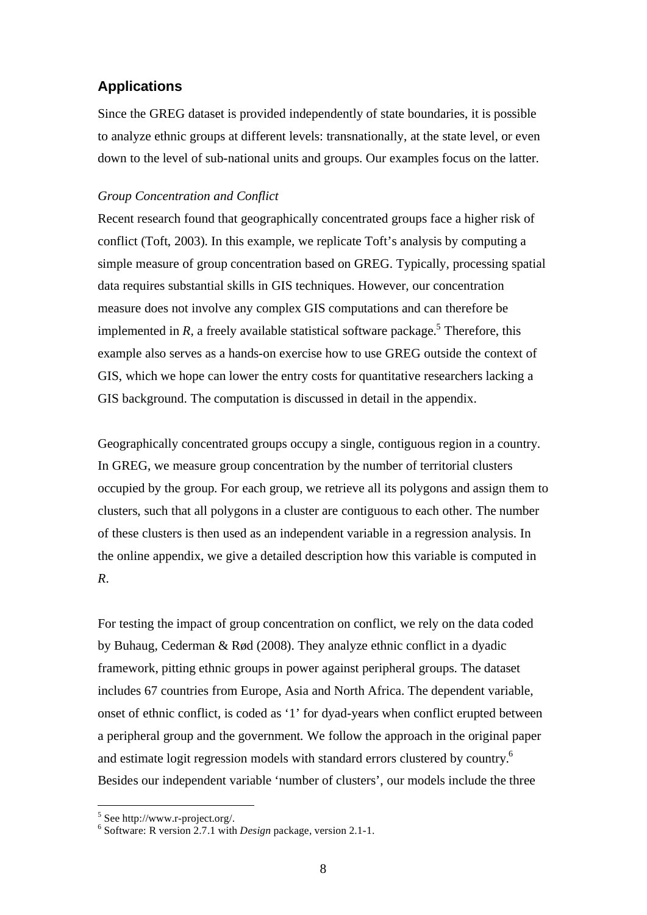# **Applications**

Since the GREG dataset is provided independently of state boundaries, it is possible to analyze ethnic groups at different levels: transnationally, at the state level, or even down to the level of sub-national units and groups. Our examples focus on the latter.

#### *Group Concentration and Conflict*

Recent research found that geographically concentrated groups face a higher risk of conflict (Toft, 2003). In this example, we replicate Toft's analysis by computing a simple measure of group concentration based on GREG. Typically, processing spatial data requires substantial skills in GIS techniques. However, our concentration measure does not involve any complex GIS computations and can therefore be implemented in  $R$ , a freely available statistical software package.<sup>5</sup> Therefore, this example also serves as a hands-on exercise how to use GREG outside the context of GIS, which we hope can lower the entry costs for quantitative researchers lacking a GIS background. The computation is discussed in detail in the appendix.

Geographically concentrated groups occupy a single, contiguous region in a country. In GREG, we measure group concentration by the number of territorial clusters occupied by the group. For each group, we retrieve all its polygons and assign them to clusters, such that all polygons in a cluster are contiguous to each other. The number of these clusters is then used as an independent variable in a regression analysis. In the online appendix, we give a detailed description how this variable is computed in *R*.

For testing the impact of group concentration on conflict, we rely on the data coded by Buhaug, Cederman & Rød (2008). They analyze ethnic conflict in a dyadic framework, pitting ethnic groups in power against peripheral groups. The dataset includes 67 countries from Europe, Asia and North Africa. The dependent variable, onset of ethnic conflict, is coded as '1' for dyad-years when conflict erupted between a peripheral group and the government. We follow the approach in the original paper and estimate logit regression models with standard errors clustered by country.<sup>6</sup> Besides our independent variable 'number of clusters', our models include the three

1

<sup>5</sup> See http://www.r-project.org/.

<sup>6</sup> Software: R version 2.7.1 with *Design* package, version 2.1-1.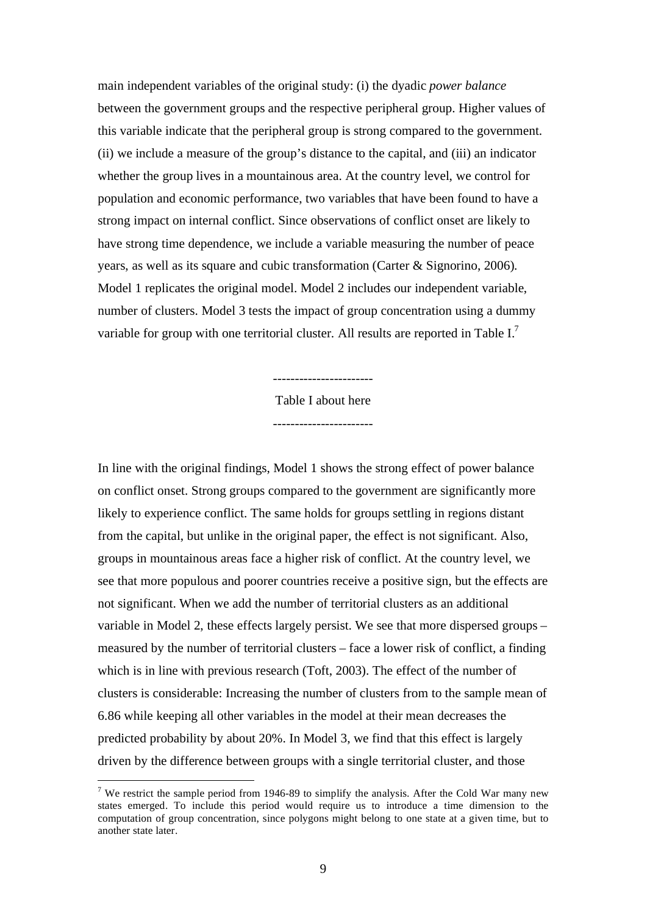main independent variables of the original study: (i) the dyadic *power balance* between the government groups and the respective peripheral group. Higher values of this variable indicate that the peripheral group is strong compared to the government. (ii) we include a measure of the group's distance to the capital, and (iii) an indicator whether the group lives in a mountainous area. At the country level, we control for population and economic performance, two variables that have been found to have a strong impact on internal conflict. Since observations of conflict onset are likely to have strong time dependence, we include a variable measuring the number of peace years, as well as its square and cubic transformation (Carter & Signorino, 2006). Model 1 replicates the original model. Model 2 includes our independent variable, number of clusters. Model 3 tests the impact of group concentration using a dummy variable for group with one territorial cluster. All results are reported in Table I.7

> ----------------------- Table I about here

-----------------------

In line with the original findings, Model 1 shows the strong effect of power balance on conflict onset. Strong groups compared to the government are significantly more likely to experience conflict. The same holds for groups settling in regions distant from the capital, but unlike in the original paper, the effect is not significant. Also, groups in mountainous areas face a higher risk of conflict. At the country level, we see that more populous and poorer countries receive a positive sign, but the effects are not significant. When we add the number of territorial clusters as an additional variable in Model 2, these effects largely persist. We see that more dispersed groups – measured by the number of territorial clusters – face a lower risk of conflict, a finding which is in line with previous research (Toft, 2003). The effect of the number of clusters is considerable: Increasing the number of clusters from to the sample mean of 6.86 while keeping all other variables in the model at their mean decreases the predicted probability by about 20%. In Model 3, we find that this effect is largely driven by the difference between groups with a single territorial cluster, and those

<u>.</u>

<sup>&</sup>lt;sup>7</sup> We restrict the sample period from 1946-89 to simplify the analysis. After the Cold War many new states emerged. To include this period would require us to introduce a time dimension to the computation of group concentration, since polygons might belong to one state at a given time, but to another state later.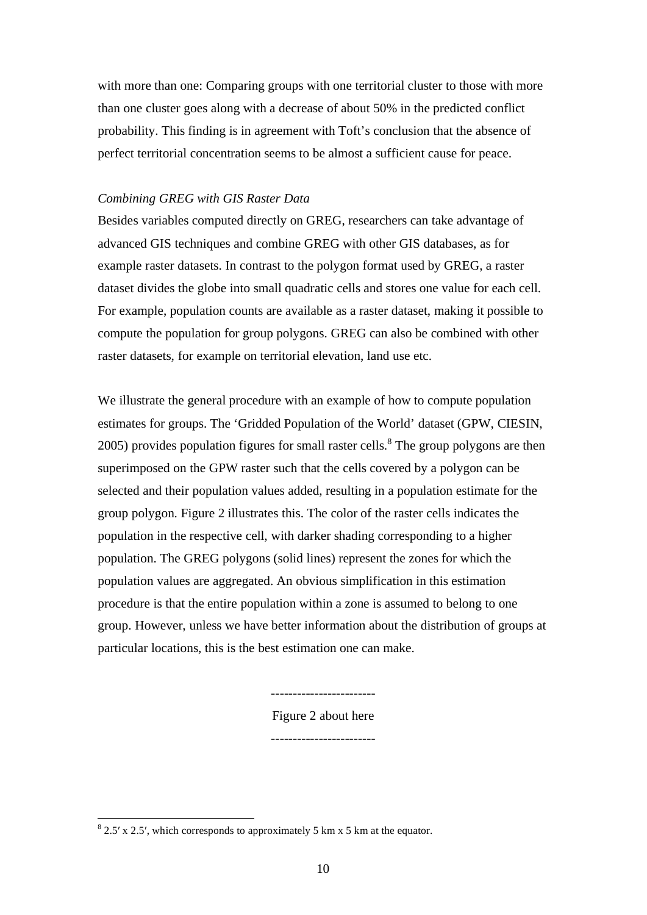with more than one: Comparing groups with one territorial cluster to those with more than one cluster goes along with a decrease of about 50% in the predicted conflict probability. This finding is in agreement with Toft's conclusion that the absence of perfect territorial concentration seems to be almost a sufficient cause for peace.

#### *Combining GREG with GIS Raster Data*

Besides variables computed directly on GREG, researchers can take advantage of advanced GIS techniques and combine GREG with other GIS databases, as for example raster datasets. In contrast to the polygon format used by GREG, a raster dataset divides the globe into small quadratic cells and stores one value for each cell. For example, population counts are available as a raster dataset, making it possible to compute the population for group polygons. GREG can also be combined with other raster datasets, for example on territorial elevation, land use etc.

We illustrate the general procedure with an example of how to compute population estimates for groups. The 'Gridded Population of the World' dataset (GPW, CIESIN,  $2005$ ) provides population figures for small raster cells.<sup>8</sup> The group polygons are then superimposed on the GPW raster such that the cells covered by a polygon can be selected and their population values added, resulting in a population estimate for the group polygon. Figure 2 illustrates this. The color of the raster cells indicates the population in the respective cell, with darker shading corresponding to a higher population. The GREG polygons (solid lines) represent the zones for which the population values are aggregated. An obvious simplification in this estimation procedure is that the entire population within a zone is assumed to belong to one group. However, unless we have better information about the distribution of groups at particular locations, this is the best estimation one can make.

> ------------------------ Figure 2 about here

> ------------------------

 $\frac{1}{8}$  2.5' x 2.5', which corresponds to approximately 5 km x 5 km at the equator.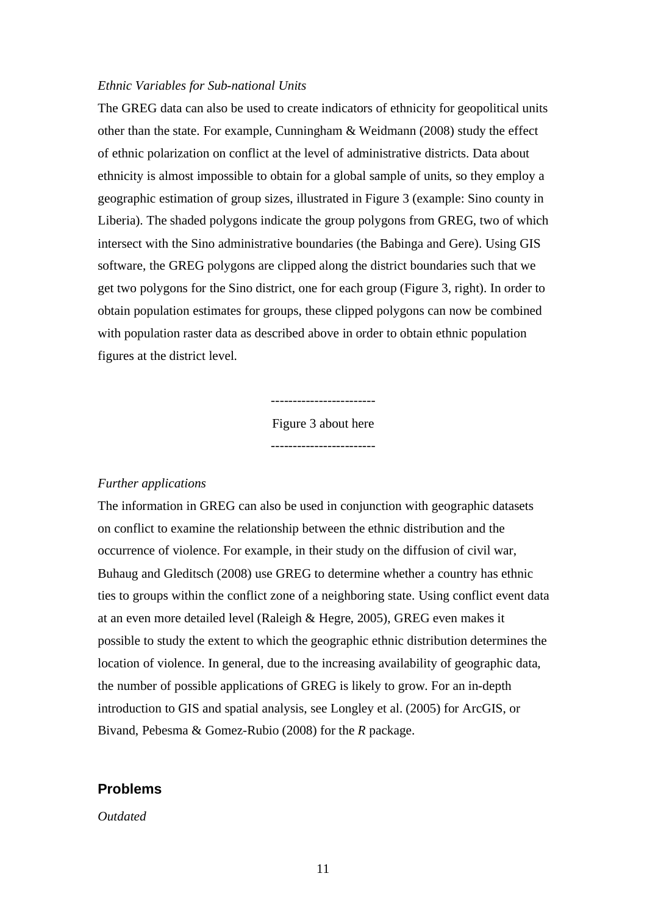#### *Ethnic Variables for Sub-national Units*

The GREG data can also be used to create indicators of ethnicity for geopolitical units other than the state. For example, Cunningham & Weidmann (2008) study the effect of ethnic polarization on conflict at the level of administrative districts. Data about ethnicity is almost impossible to obtain for a global sample of units, so they employ a geographic estimation of group sizes, illustrated in Figure 3 (example: Sino county in Liberia). The shaded polygons indicate the group polygons from GREG, two of which intersect with the Sino administrative boundaries (the Babinga and Gere). Using GIS software, the GREG polygons are clipped along the district boundaries such that we get two polygons for the Sino district, one for each group (Figure 3, right). In order to obtain population estimates for groups, these clipped polygons can now be combined with population raster data as described above in order to obtain ethnic population figures at the district level.

> Figure 3 about here ------------------------

> ------------------------

#### *Further applications*

The information in GREG can also be used in conjunction with geographic datasets on conflict to examine the relationship between the ethnic distribution and the occurrence of violence. For example, in their study on the diffusion of civil war, Buhaug and Gleditsch (2008) use GREG to determine whether a country has ethnic ties to groups within the conflict zone of a neighboring state. Using conflict event data at an even more detailed level (Raleigh & Hegre, 2005), GREG even makes it possible to study the extent to which the geographic ethnic distribution determines the location of violence. In general, due to the increasing availability of geographic data, the number of possible applications of GREG is likely to grow. For an in-depth introduction to GIS and spatial analysis, see Longley et al. (2005) for ArcGIS, or Bivand, Pebesma & Gomez-Rubio (2008) for the *R* package.

## **Problems**

#### *Outdated*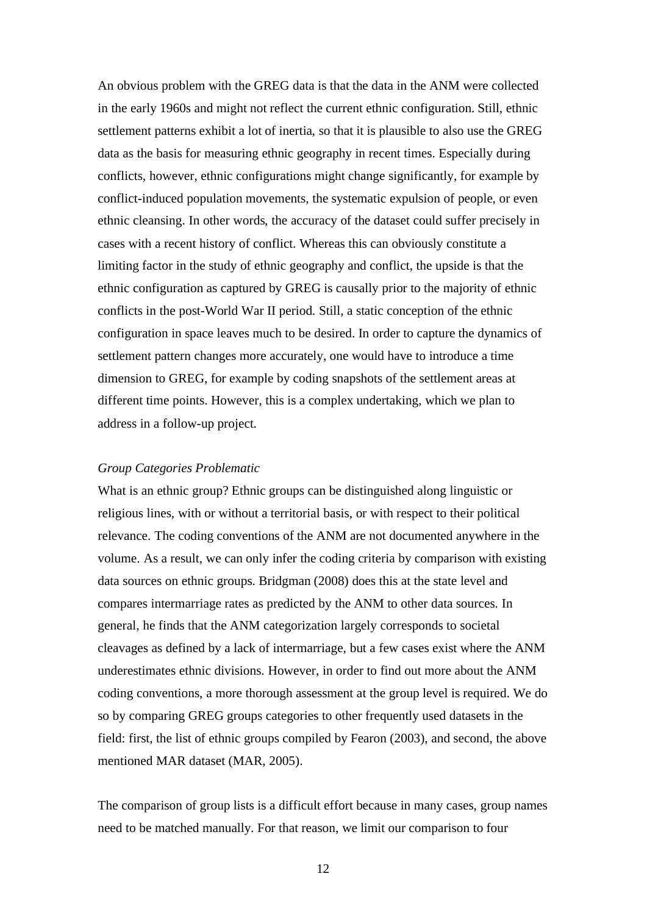An obvious problem with the GREG data is that the data in the ANM were collected in the early 1960s and might not reflect the current ethnic configuration. Still, ethnic settlement patterns exhibit a lot of inertia, so that it is plausible to also use the GREG data as the basis for measuring ethnic geography in recent times. Especially during conflicts, however, ethnic configurations might change significantly, for example by conflict-induced population movements, the systematic expulsion of people, or even ethnic cleansing. In other words, the accuracy of the dataset could suffer precisely in cases with a recent history of conflict. Whereas this can obviously constitute a limiting factor in the study of ethnic geography and conflict, the upside is that the ethnic configuration as captured by GREG is causally prior to the majority of ethnic conflicts in the post-World War II period. Still, a static conception of the ethnic configuration in space leaves much to be desired. In order to capture the dynamics of settlement pattern changes more accurately, one would have to introduce a time dimension to GREG, for example by coding snapshots of the settlement areas at different time points. However, this is a complex undertaking, which we plan to address in a follow-up project.

#### *Group Categories Problematic*

What is an ethnic group? Ethnic groups can be distinguished along linguistic or religious lines, with or without a territorial basis, or with respect to their political relevance. The coding conventions of the ANM are not documented anywhere in the volume. As a result, we can only infer the coding criteria by comparison with existing data sources on ethnic groups. Bridgman (2008) does this at the state level and compares intermarriage rates as predicted by the ANM to other data sources. In general, he finds that the ANM categorization largely corresponds to societal cleavages as defined by a lack of intermarriage, but a few cases exist where the ANM underestimates ethnic divisions. However, in order to find out more about the ANM coding conventions, a more thorough assessment at the group level is required. We do so by comparing GREG groups categories to other frequently used datasets in the field: first, the list of ethnic groups compiled by Fearon (2003), and second, the above mentioned MAR dataset (MAR, 2005).

The comparison of group lists is a difficult effort because in many cases, group names need to be matched manually. For that reason, we limit our comparison to four

12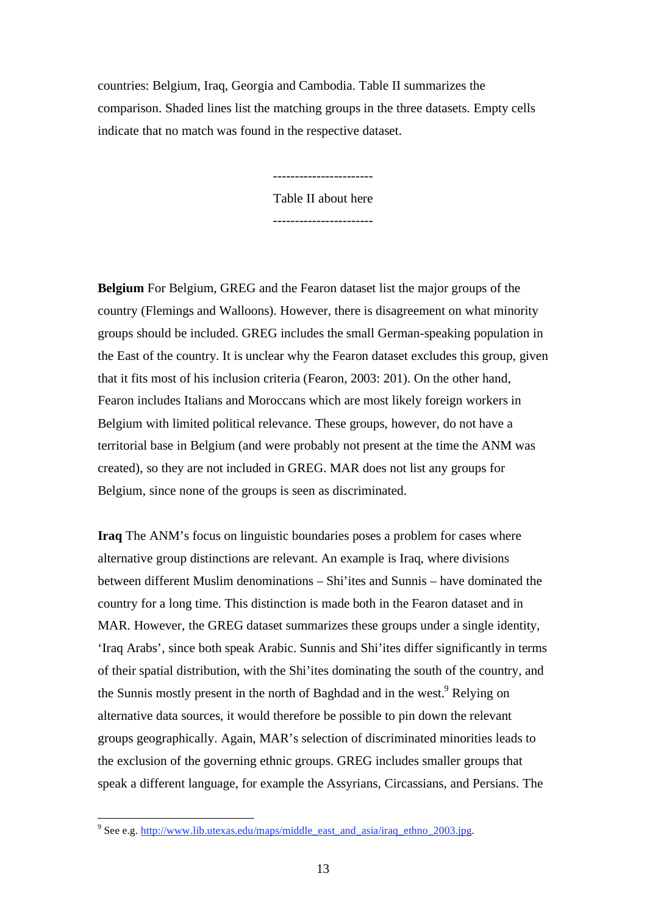countries: Belgium, Iraq, Georgia and Cambodia. Table II summarizes the comparison. Shaded lines list the matching groups in the three datasets. Empty cells indicate that no match was found in the respective dataset.

> Table II about here -----------------------

**Belgium** For Belgium, GREG and the Fearon dataset list the major groups of the country (Flemings and Walloons). However, there is disagreement on what minority groups should be included. GREG includes the small German-speaking population in the East of the country. It is unclear why the Fearon dataset excludes this group, given that it fits most of his inclusion criteria (Fearon, 2003: 201). On the other hand, Fearon includes Italians and Moroccans which are most likely foreign workers in Belgium with limited political relevance. These groups, however, do not have a territorial base in Belgium (and were probably not present at the time the ANM was created), so they are not included in GREG. MAR does not list any groups for Belgium, since none of the groups is seen as discriminated.

**Iraq** The ANM's focus on linguistic boundaries poses a problem for cases where alternative group distinctions are relevant. An example is Iraq, where divisions between different Muslim denominations – Shi'ites and Sunnis – have dominated the country for a long time. This distinction is made both in the Fearon dataset and in MAR. However, the GREG dataset summarizes these groups under a single identity, 'Iraq Arabs', since both speak Arabic. Sunnis and Shi'ites differ significantly in terms of their spatial distribution, with the Shi'ites dominating the south of the country, and the Sunnis mostly present in the north of Baghdad and in the west.<sup>9</sup> Relying on alternative data sources, it would therefore be possible to pin down the relevant groups geographically. Again, MAR's selection of discriminated minorities leads to the exclusion of the governing ethnic groups. GREG includes smaller groups that speak a different language, for example the Assyrians, Circassians, and Persians. The

See e.g. http://www.lib.utexas.edu/maps/middle\_east\_and\_asia/iraq\_ethno\_2003.jpg.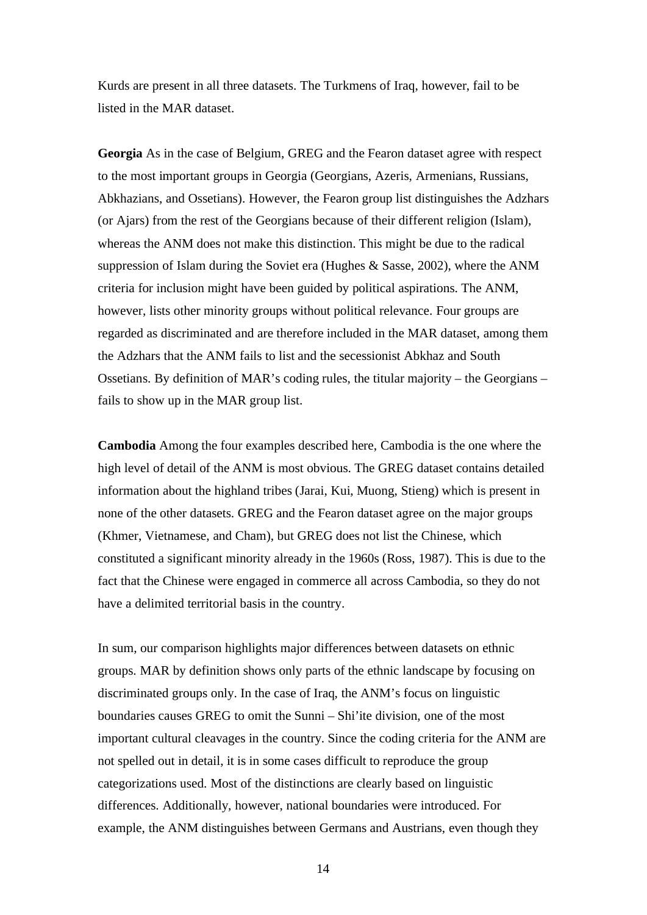Kurds are present in all three datasets. The Turkmens of Iraq, however, fail to be listed in the MAR dataset.

**Georgia** As in the case of Belgium, GREG and the Fearon dataset agree with respect to the most important groups in Georgia (Georgians, Azeris, Armenians, Russians, Abkhazians, and Ossetians). However, the Fearon group list distinguishes the Adzhars (or Ajars) from the rest of the Georgians because of their different religion (Islam), whereas the ANM does not make this distinction. This might be due to the radical suppression of Islam during the Soviet era (Hughes & Sasse, 2002), where the ANM criteria for inclusion might have been guided by political aspirations. The ANM, however, lists other minority groups without political relevance. Four groups are regarded as discriminated and are therefore included in the MAR dataset, among them the Adzhars that the ANM fails to list and the secessionist Abkhaz and South Ossetians. By definition of MAR's coding rules, the titular majority – the Georgians – fails to show up in the MAR group list.

**Cambodia** Among the four examples described here, Cambodia is the one where the high level of detail of the ANM is most obvious. The GREG dataset contains detailed information about the highland tribes (Jarai, Kui, Muong, Stieng) which is present in none of the other datasets. GREG and the Fearon dataset agree on the major groups (Khmer, Vietnamese, and Cham), but GREG does not list the Chinese, which constituted a significant minority already in the 1960s (Ross, 1987). This is due to the fact that the Chinese were engaged in commerce all across Cambodia, so they do not have a delimited territorial basis in the country.

In sum, our comparison highlights major differences between datasets on ethnic groups. MAR by definition shows only parts of the ethnic landscape by focusing on discriminated groups only. In the case of Iraq, the ANM's focus on linguistic boundaries causes GREG to omit the Sunni – Shi'ite division, one of the most important cultural cleavages in the country. Since the coding criteria for the ANM are not spelled out in detail, it is in some cases difficult to reproduce the group categorizations used. Most of the distinctions are clearly based on linguistic differences. Additionally, however, national boundaries were introduced. For example, the ANM distinguishes between Germans and Austrians, even though they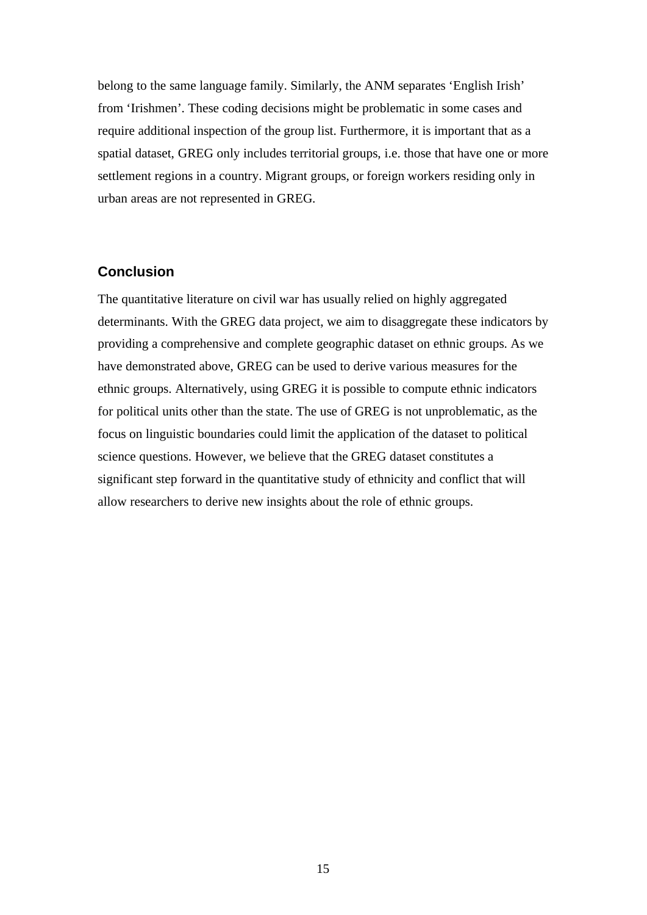belong to the same language family. Similarly, the ANM separates 'English Irish' from 'Irishmen'. These coding decisions might be problematic in some cases and require additional inspection of the group list. Furthermore, it is important that as a spatial dataset, GREG only includes territorial groups, i.e. those that have one or more settlement regions in a country. Migrant groups, or foreign workers residing only in urban areas are not represented in GREG.

# **Conclusion**

The quantitative literature on civil war has usually relied on highly aggregated determinants. With the GREG data project, we aim to disaggregate these indicators by providing a comprehensive and complete geographic dataset on ethnic groups. As we have demonstrated above, GREG can be used to derive various measures for the ethnic groups. Alternatively, using GREG it is possible to compute ethnic indicators for political units other than the state. The use of GREG is not unproblematic, as the focus on linguistic boundaries could limit the application of the dataset to political science questions. However, we believe that the GREG dataset constitutes a significant step forward in the quantitative study of ethnicity and conflict that will allow researchers to derive new insights about the role of ethnic groups.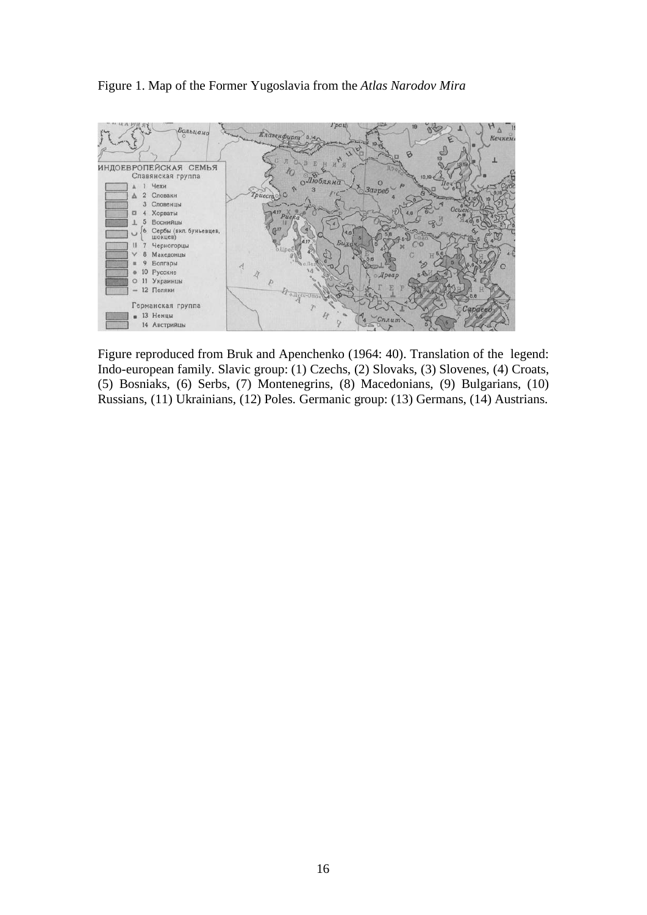#### Figure 1. Map of the Former Yugoslavia from the *Atlas Narodov Mira*



Figure reproduced from Bruk and Apenchenko (1964: 40). Translation of the legend: Indo-european family. Slavic group: (1) Czechs, (2) Slovaks, (3) Slovenes, (4) Croats, (5) Bosniaks, (6) Serbs, (7) Montenegrins, (8) Macedonians, (9) Bulgarians, (10) Russians, (11) Ukrainians, (12) Poles. Germanic group: (13) Germans, (14) Austrians.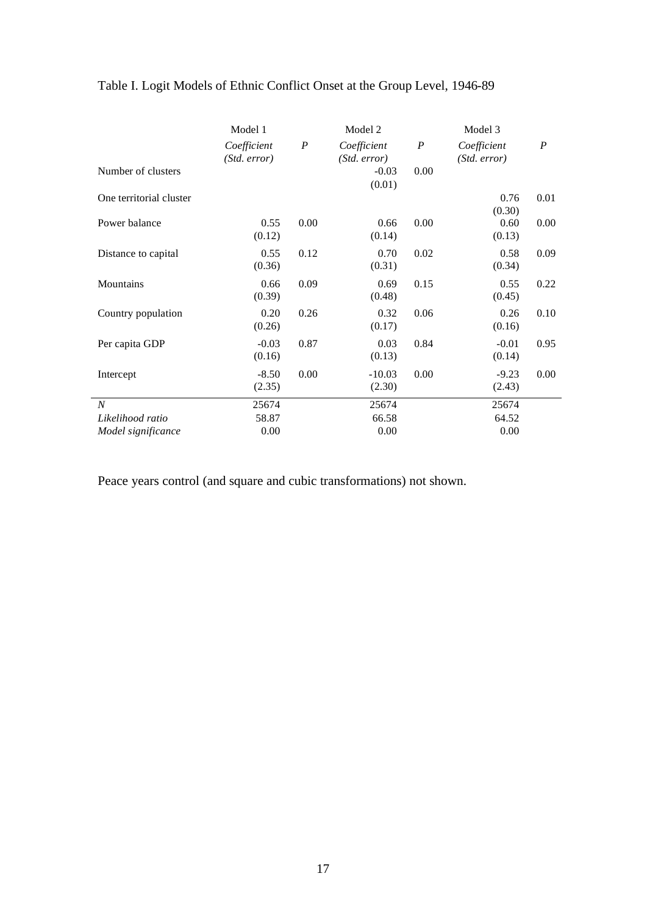|                         | Model 1                     |                  | Model 2                     |                  | Model 3                     |                  |
|-------------------------|-----------------------------|------------------|-----------------------------|------------------|-----------------------------|------------------|
|                         | Coefficient<br>(Std. error) | $\boldsymbol{P}$ | Coefficient<br>(Std. error) | $\boldsymbol{P}$ | Coefficient<br>(Std. error) | $\boldsymbol{P}$ |
| Number of clusters      |                             |                  | $-0.03$<br>(0.01)           | 0.00             |                             |                  |
| One territorial cluster |                             |                  |                             |                  | 0.76<br>(0.30)              | 0.01             |
| Power balance           | 0.55<br>(0.12)              | 0.00             | 0.66<br>(0.14)              | 0.00             | 0.60<br>(0.13)              | 0.00             |
| Distance to capital     | 0.55<br>(0.36)              | 0.12             | 0.70<br>(0.31)              | 0.02             | 0.58<br>(0.34)              | 0.09             |
| Mountains               | 0.66<br>(0.39)              | 0.09             | 0.69<br>(0.48)              | 0.15             | 0.55<br>(0.45)              | 0.22             |
| Country population      | 0.20<br>(0.26)              | 0.26             | 0.32<br>(0.17)              | 0.06             | 0.26<br>(0.16)              | 0.10             |
| Per capita GDP          | $-0.03$<br>(0.16)           | 0.87             | 0.03<br>(0.13)              | 0.84             | $-0.01$<br>(0.14)           | 0.95             |
| Intercept               | $-8.50$<br>(2.35)           | 0.00             | $-10.03$<br>(2.30)          | 0.00             | $-9.23$<br>(2.43)           | 0.00             |
| $\boldsymbol{N}$        | 25674                       |                  | 25674                       |                  | 25674                       |                  |
| Likelihood ratio        | 58.87                       |                  | 66.58                       |                  | 64.52                       |                  |
| Model significance      | 0.00                        |                  | 0.00                        |                  | 0.00                        |                  |

# Table I. Logit Models of Ethnic Conflict Onset at the Group Level, 1946-89

Peace years control (and square and cubic transformations) not shown.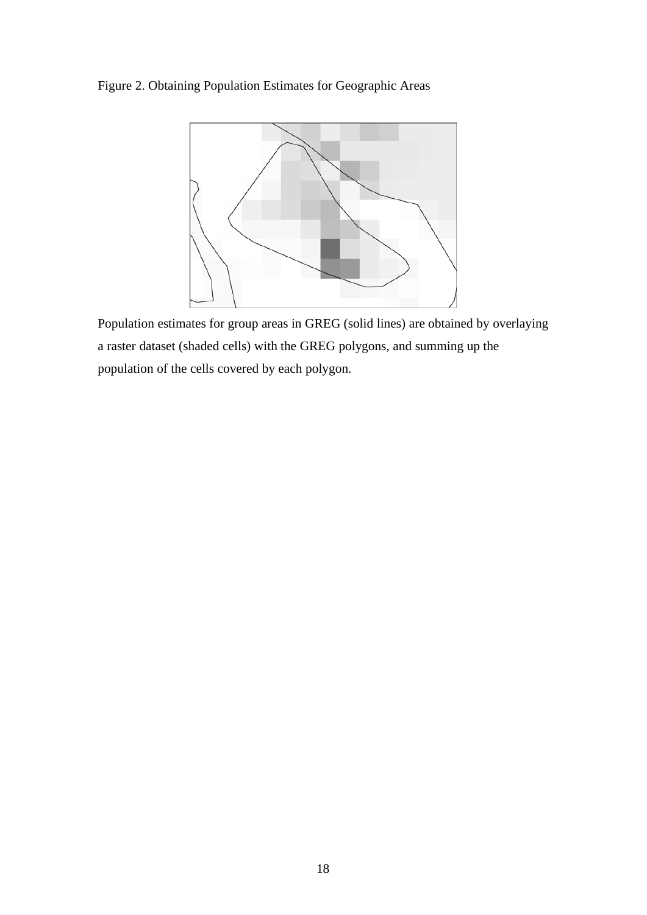Figure 2. Obtaining Population Estimates for Geographic Areas



Population estimates for group areas in GREG (solid lines) are obtained by overlaying a raster dataset (shaded cells) with the GREG polygons, and summing up the population of the cells covered by each polygon.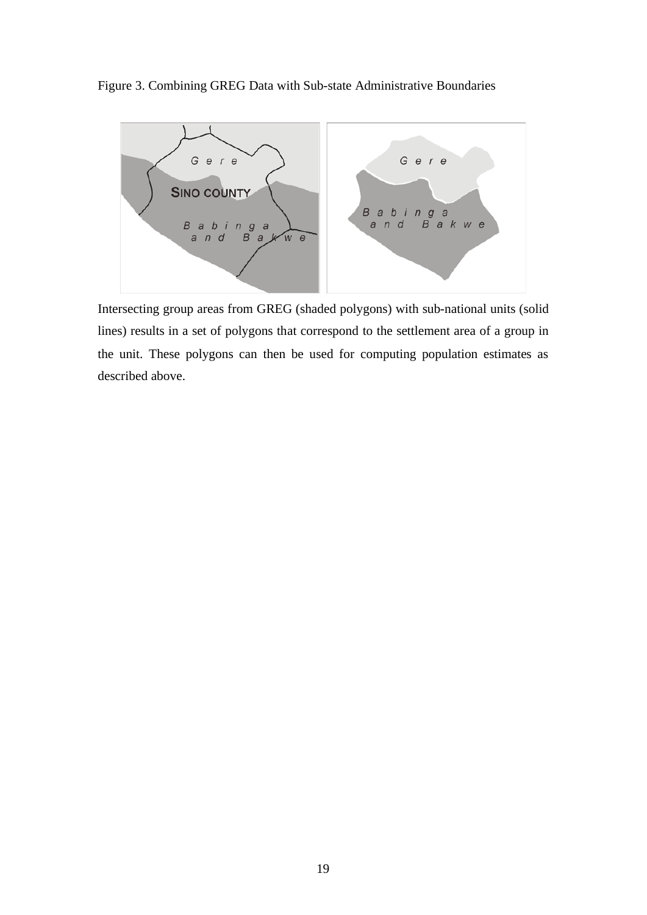Figure 3. Combining GREG Data with Sub-state Administrative Boundaries



Intersecting group areas from GREG (shaded polygons) with sub-national units (solid lines) results in a set of polygons that correspond to the settlement area of a group in the unit. These polygons can then be used for computing population estimates as described above.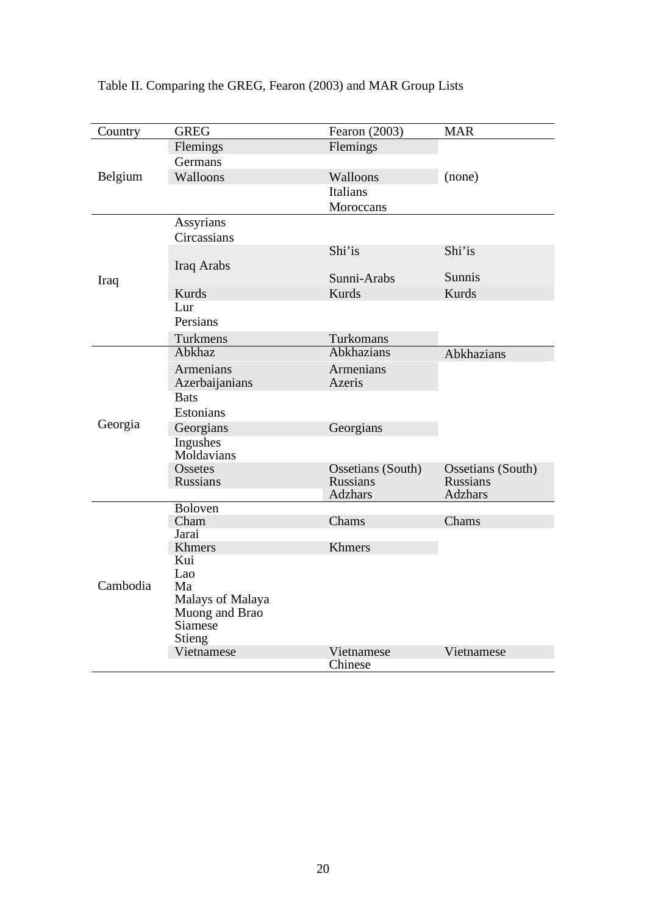| Country  | <b>GREG</b>                | Fearon (2003)                        | <b>MAR</b>                           |
|----------|----------------------------|--------------------------------------|--------------------------------------|
| Belgium  | Flemings                   | Flemings                             |                                      |
|          | Germans                    |                                      |                                      |
|          | Walloons                   | Walloons                             | (none)                               |
|          |                            | <b>Italians</b>                      |                                      |
|          |                            | Moroccans                            |                                      |
| Iraq     | Assyrians                  |                                      |                                      |
|          | Circassians                |                                      |                                      |
|          |                            | Shi'is                               | Shi'is                               |
|          | Iraq Arabs                 |                                      |                                      |
|          |                            | Sunni-Arabs                          | Sunnis                               |
|          | Kurds                      | <b>Kurds</b>                         | Kurds                                |
|          | Lur                        |                                      |                                      |
|          | Persians                   |                                      |                                      |
|          | Turkmens                   | Turkomans                            |                                      |
| Georgia  | Abkhaz                     | <b>Abkhazians</b>                    | Abkhazians                           |
|          | <b>Armenians</b>           | <b>Armenians</b>                     |                                      |
|          | Azerbaijanians             | Azeris                               |                                      |
|          | <b>Bats</b>                |                                      |                                      |
|          | Estonians                  |                                      |                                      |
|          | Georgians                  | Georgians                            |                                      |
|          | Ingushes                   |                                      |                                      |
|          | Moldavians                 |                                      |                                      |
|          | Ossetes<br><b>Russians</b> | Ossetians (South)<br><b>Russians</b> | Ossetians (South)<br><b>Russians</b> |
|          |                            | <b>Adzhars</b>                       | <b>Adzhars</b>                       |
|          | <b>Boloven</b>             |                                      |                                      |
| Cambodia | Cham                       | Chams                                | Chams                                |
|          | Jarai                      |                                      |                                      |
|          | Khmers                     | <b>Khmers</b>                        |                                      |
|          | Kui                        |                                      |                                      |
|          | Lao<br>Ma                  |                                      |                                      |
|          | Malays of Malaya           |                                      |                                      |
|          | Muong and Brao             |                                      |                                      |
|          | Siamese                    |                                      |                                      |
|          | Stieng                     |                                      |                                      |
|          | Vietnamese                 | Vietnamese                           | Vietnamese                           |
|          |                            | Chinese                              |                                      |

Table II. Comparing the GREG, Fearon (2003) and MAR Group Lists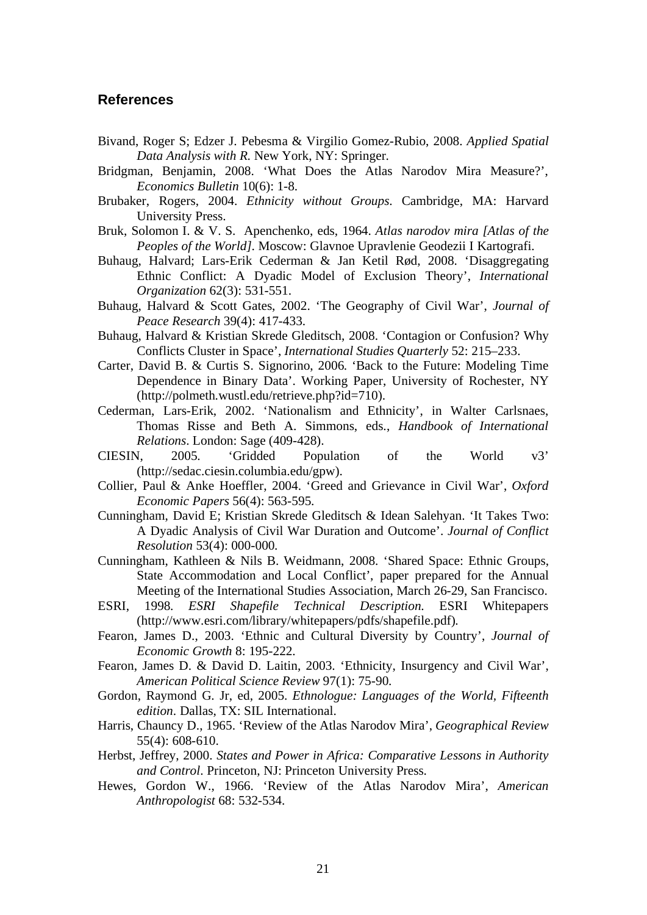#### **References**

- Bivand, Roger S; Edzer J. Pebesma & Virgilio Gomez-Rubio, 2008. *Applied Spatial Data Analysis with R*. New York, NY: Springer.
- Bridgman, Benjamin, 2008. 'What Does the Atlas Narodov Mira Measure?', *Economics Bulletin* 10(6): 1-8.
- Brubaker, Rogers, 2004. *Ethnicity without Groups*. Cambridge, MA: Harvard University Press.
- Bruk, Solomon I. & V. S. Apenchenko, eds, 1964. *Atlas narodov mira [Atlas of the Peoples of the World]*. Moscow: Glavnoe Upravlenie Geodezii I Kartografi.
- Buhaug, Halvard; Lars-Erik Cederman & Jan Ketil Rød, 2008. 'Disaggregating Ethnic Conflict: A Dyadic Model of Exclusion Theory', *International Organization* 62(3): 531-551.
- Buhaug, Halvard & Scott Gates, 2002. 'The Geography of Civil War', *Journal of Peace Research* 39(4): 417-433.
- Buhaug, Halvard & Kristian Skrede Gleditsch, 2008. 'Contagion or Confusion? Why Conflicts Cluster in Space', *International Studies Quarterly* 52: 215–233.
- Carter, David B. & Curtis S. Signorino, 2006. 'Back to the Future: Modeling Time Dependence in Binary Data'. Working Paper, University of Rochester, NY (http://polmeth.wustl.edu/retrieve.php?id=710).
- Cederman, Lars-Erik, 2002. 'Nationalism and Ethnicity', in Walter Carlsnaes, Thomas Risse and Beth A. Simmons, eds., *Handbook of International Relations*. London: Sage (409-428).
- CIESIN, 2005. 'Gridded Population of the World v3' (http://sedac.ciesin.columbia.edu/gpw).
- Collier, Paul & Anke Hoeffler, 2004. 'Greed and Grievance in Civil War', *Oxford Economic Papers* 56(4): 563-595.
- Cunningham, David E; Kristian Skrede Gleditsch & Idean Salehyan. 'It Takes Two: A Dyadic Analysis of Civil War Duration and Outcome'. *Journal of Conflict Resolution* 53(4): 000-000.
- Cunningham, Kathleen & Nils B. Weidmann, 2008. 'Shared Space: Ethnic Groups, State Accommodation and Local Conflict', paper prepared for the Annual Meeting of the International Studies Association, March 26-29, San Francisco.
- ESRI, 1998. *ESRI Shapefile Technical Description.* ESRI Whitepapers (http://www.esri.com/library/whitepapers/pdfs/shapefile.pdf).
- Fearon, James D., 2003. 'Ethnic and Cultural Diversity by Country', *Journal of Economic Growth* 8: 195-222.
- Fearon, James D. & David D. Laitin, 2003. 'Ethnicity, Insurgency and Civil War', *American Political Science Review* 97(1): 75-90.
- Gordon, Raymond G. Jr, ed, 2005. *Ethnologue: Languages of the World, Fifteenth edition*. Dallas, TX: SIL International.
- Harris, Chauncy D., 1965. 'Review of the Atlas Narodov Mira', *Geographical Review* 55(4): 608-610.
- Herbst, Jeffrey, 2000. *States and Power in Africa: Comparative Lessons in Authority and Control*. Princeton, NJ: Princeton University Press.
- Hewes, Gordon W., 1966. 'Review of the Atlas Narodov Mira', *American Anthropologist* 68: 532-534.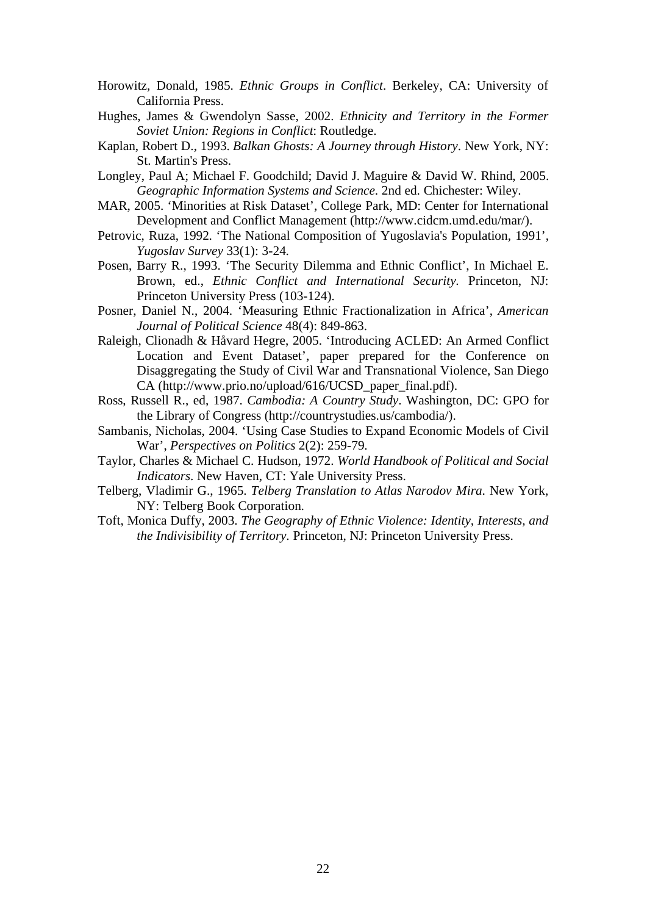- Horowitz, Donald, 1985. *Ethnic Groups in Conflict*. Berkeley, CA: University of California Press.
- Hughes, James & Gwendolyn Sasse, 2002. *Ethnicity and Territory in the Former Soviet Union: Regions in Conflict*: Routledge.
- Kaplan, Robert D., 1993. *Balkan Ghosts: A Journey through History*. New York, NY: St. Martin's Press.
- Longley, Paul A; Michael F. Goodchild; David J. Maguire & David W. Rhind, 2005. *Geographic Information Systems and Science*. 2nd ed. Chichester: Wiley.
- MAR, 2005. 'Minorities at Risk Dataset', College Park, MD: Center for International Development and Conflict Management (http://www.cidcm.umd.edu/mar/).
- Petrovic, Ruza, 1992. 'The National Composition of Yugoslavia's Population, 1991', *Yugoslav Survey* 33(1): 3-24.
- Posen, Barry R., 1993. 'The Security Dilemma and Ethnic Conflict', In Michael E. Brown, ed., *Ethnic Conflict and International Security*. Princeton, NJ: Princeton University Press (103-124).
- Posner, Daniel N., 2004. 'Measuring Ethnic Fractionalization in Africa', *American Journal of Political Science* 48(4): 849-863.
- Raleigh, Clionadh & Håvard Hegre, 2005. 'Introducing ACLED: An Armed Conflict Location and Event Dataset', paper prepared for the Conference on Disaggregating the Study of Civil War and Transnational Violence, San Diego CA (http://www.prio.no/upload/616/UCSD\_paper\_final.pdf).
- Ross, Russell R., ed, 1987. *Cambodia: A Country Study*. Washington, DC: GPO for the Library of Congress (http://countrystudies.us/cambodia/).
- Sambanis, Nicholas, 2004. 'Using Case Studies to Expand Economic Models of Civil War', *Perspectives on Politics* 2(2): 259-79.
- Taylor, Charles & Michael C. Hudson, 1972. *World Handbook of Political and Social Indicators*. New Haven, CT: Yale University Press.
- Telberg, Vladimir G., 1965. *Telberg Translation to Atlas Narodov Mira*. New York, NY: Telberg Book Corporation.
- Toft, Monica Duffy, 2003. *The Geography of Ethnic Violence: Identity, Interests, and the Indivisibility of Territory*. Princeton, NJ: Princeton University Press.